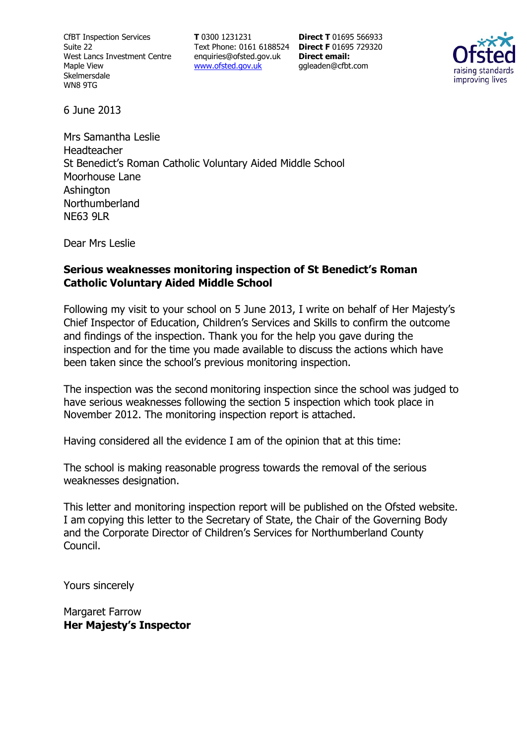CfBT Inspection Services Suite 22 West Lancs Investment Centre Maple View Skelmersdale WN8 9TG

**T** 0300 1231231 Text Phone: 0161 6188524 **Direct F** 01695 729320 enquiries@ofsted.gov.uk www.ofsted.gov.uk

**Direct T** 01695 566933 **Direct email:**  ggleaden@cfbt.com



6 June 2013

Mrs Samantha Leslie Headteacher St Benedict's Roman Catholic Voluntary Aided Middle School Moorhouse Lane **Ashington** Northumberland NE63 9LR

Dear Mrs Leslie

#### **Serious weaknesses monitoring inspection of St Benedict's Roman Catholic Voluntary Aided Middle School**

Following my visit to your school on 5 June 2013, I write on behalf of Her Majesty's Chief Inspector of Education, Children's Services and Skills to confirm the outcome and findings of the inspection. Thank you for the help you gave during the inspection and for the time you made available to discuss the actions which have been taken since the school's previous monitoring inspection.

The inspection was the second monitoring inspection since the school was judged to have serious weaknesses following the section 5 inspection which took place in November 2012. The monitoring inspection report is attached.

Having considered all the evidence I am of the opinion that at this time:

The school is making reasonable progress towards the removal of the serious weaknesses designation.

This letter and monitoring inspection report will be published on the Ofsted website. I am copying this letter to the Secretary of State, the Chair of the Governing Body and the Corporate Director of Children's Services for Northumberland County Council.

Yours sincerely

Margaret Farrow **Her Majesty's Inspector**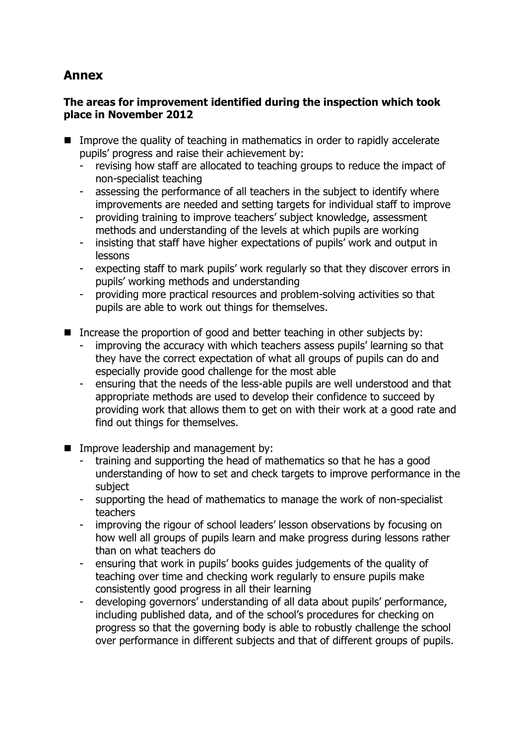# **Annex**

## **The areas for improvement identified during the inspection which took place in November 2012**

- Improve the quality of teaching in mathematics in order to rapidly accelerate pupils' progress and raise their achievement by:
	- revising how staff are allocated to teaching groups to reduce the impact of non-specialist teaching
	- assessing the performance of all teachers in the subject to identify where improvements are needed and setting targets for individual staff to improve
	- providing training to improve teachers' subject knowledge, assessment methods and understanding of the levels at which pupils are working
	- insisting that staff have higher expectations of pupils' work and output in lessons
	- expecting staff to mark pupils' work regularly so that they discover errors in pupils' working methods and understanding
	- providing more practical resources and problem-solving activities so that pupils are able to work out things for themselves.
- Increase the proportion of good and better teaching in other subjects by:
	- improving the accuracy with which teachers assess pupils' learning so that they have the correct expectation of what all groups of pupils can do and especially provide good challenge for the most able
	- ensuring that the needs of the less-able pupils are well understood and that appropriate methods are used to develop their confidence to succeed by providing work that allows them to get on with their work at a good rate and find out things for themselves.
- **IMPROVE leadership and management by:** 
	- training and supporting the head of mathematics so that he has a good understanding of how to set and check targets to improve performance in the subject
	- supporting the head of mathematics to manage the work of non-specialist teachers
	- improving the rigour of school leaders' lesson observations by focusing on how well all groups of pupils learn and make progress during lessons rather than on what teachers do
	- ensuring that work in pupils' books guides judgements of the quality of teaching over time and checking work regularly to ensure pupils make consistently good progress in all their learning
	- developing governors' understanding of all data about pupils' performance, including published data, and of the school's procedures for checking on progress so that the governing body is able to robustly challenge the school over performance in different subjects and that of different groups of pupils.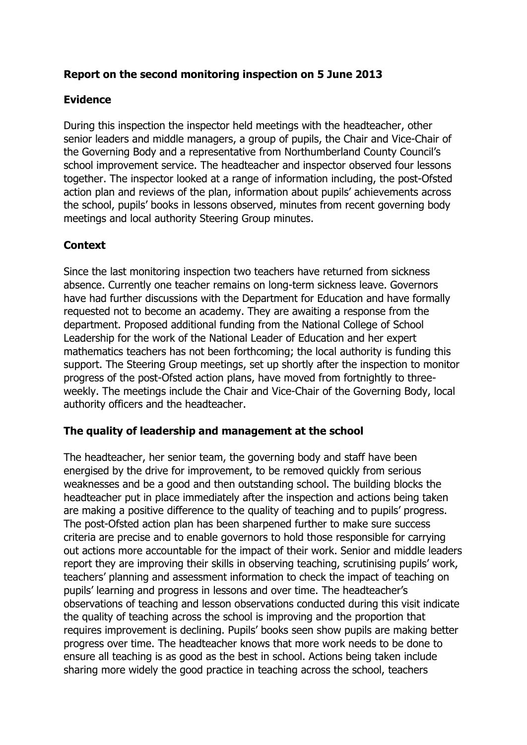## **Report on the second monitoring inspection on 5 June 2013**

# **Evidence**

During this inspection the inspector held meetings with the headteacher, other senior leaders and middle managers, a group of pupils, the Chair and Vice-Chair of the Governing Body and a representative from Northumberland County Council's school improvement service. The headteacher and inspector observed four lessons together. The inspector looked at a range of information including, the post-Ofsted action plan and reviews of the plan, information about pupils' achievements across the school, pupils' books in lessons observed, minutes from recent governing body meetings and local authority Steering Group minutes.

## **Context**

Since the last monitoring inspection two teachers have returned from sickness absence. Currently one teacher remains on long-term sickness leave. Governors have had further discussions with the Department for Education and have formally requested not to become an academy. They are awaiting a response from the department. Proposed additional funding from the National College of School Leadership for the work of the National Leader of Education and her expert mathematics teachers has not been forthcoming; the local authority is funding this support. The Steering Group meetings, set up shortly after the inspection to monitor progress of the post-Ofsted action plans, have moved from fortnightly to threeweekly. The meetings include the Chair and Vice-Chair of the Governing Body, local authority officers and the headteacher.

### **The quality of leadership and management at the school**

The headteacher, her senior team, the governing body and staff have been energised by the drive for improvement, to be removed quickly from serious weaknesses and be a good and then outstanding school. The building blocks the headteacher put in place immediately after the inspection and actions being taken are making a positive difference to the quality of teaching and to pupils' progress. The post-Ofsted action plan has been sharpened further to make sure success criteria are precise and to enable governors to hold those responsible for carrying out actions more accountable for the impact of their work. Senior and middle leaders report they are improving their skills in observing teaching, scrutinising pupils' work, teachers' planning and assessment information to check the impact of teaching on pupils' learning and progress in lessons and over time. The headteacher's observations of teaching and lesson observations conducted during this visit indicate the quality of teaching across the school is improving and the proportion that requires improvement is declining. Pupils' books seen show pupils are making better progress over time. The headteacher knows that more work needs to be done to ensure all teaching is as good as the best in school. Actions being taken include sharing more widely the good practice in teaching across the school, teachers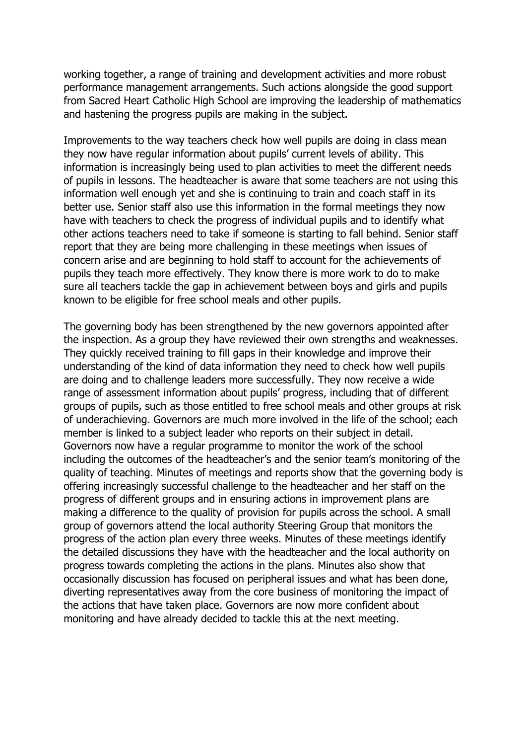working together, a range of training and development activities and more robust performance management arrangements. Such actions alongside the good support from Sacred Heart Catholic High School are improving the leadership of mathematics and hastening the progress pupils are making in the subject.

Improvements to the way teachers check how well pupils are doing in class mean they now have regular information about pupils' current levels of ability. This information is increasingly being used to plan activities to meet the different needs of pupils in lessons. The headteacher is aware that some teachers are not using this information well enough yet and she is continuing to train and coach staff in its better use. Senior staff also use this information in the formal meetings they now have with teachers to check the progress of individual pupils and to identify what other actions teachers need to take if someone is starting to fall behind. Senior staff report that they are being more challenging in these meetings when issues of concern arise and are beginning to hold staff to account for the achievements of pupils they teach more effectively. They know there is more work to do to make sure all teachers tackle the gap in achievement between boys and girls and pupils known to be eligible for free school meals and other pupils.

The governing body has been strengthened by the new governors appointed after the inspection. As a group they have reviewed their own strengths and weaknesses. They quickly received training to fill gaps in their knowledge and improve their understanding of the kind of data information they need to check how well pupils are doing and to challenge leaders more successfully. They now receive a wide range of assessment information about pupils' progress, including that of different groups of pupils, such as those entitled to free school meals and other groups at risk of underachieving. Governors are much more involved in the life of the school; each member is linked to a subject leader who reports on their subject in detail. Governors now have a regular programme to monitor the work of the school including the outcomes of the headteacher's and the senior team's monitoring of the quality of teaching. Minutes of meetings and reports show that the governing body is offering increasingly successful challenge to the headteacher and her staff on the progress of different groups and in ensuring actions in improvement plans are making a difference to the quality of provision for pupils across the school. A small group of governors attend the local authority Steering Group that monitors the progress of the action plan every three weeks. Minutes of these meetings identify the detailed discussions they have with the headteacher and the local authority on progress towards completing the actions in the plans. Minutes also show that occasionally discussion has focused on peripheral issues and what has been done, diverting representatives away from the core business of monitoring the impact of the actions that have taken place. Governors are now more confident about monitoring and have already decided to tackle this at the next meeting.